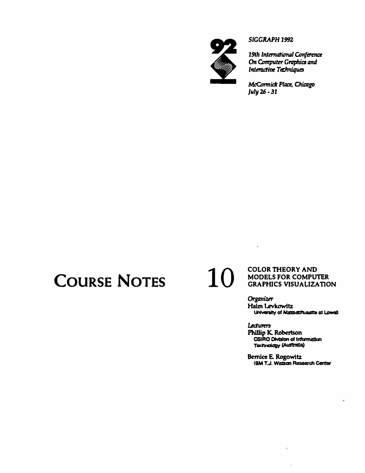

#### *SIGGRAPH1992*

*19th International Confertna*  **On Computer Graphics and** *Internative Tachniques* 

*Mt:Omnia Plaa. Chiazgo*  **July** *1Ji* • *31* 

# **COURSE NOTES 10**

#### **COLOR THEORY AND MODELS FOR COMPUTER GRAPHICS VISUALIZATION**

 $\blacksquare$ 

**HalmLevlcowitz**  *Organizer*  **University of Massachusate at Lowell** 

Lecturers Phillip K. Robertson **CSIRO DMslon ol lnformallan Tedlnology CAustralla)** 

**Bernice E. Rogowitz IBM T.J. Walson Research Center** 

 $\tilde{\epsilon}$ 

 $\tilde{\mathbf{y}}_i$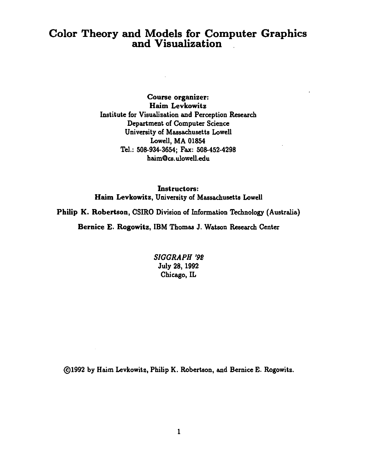### Color Theory and Models for Computer Graphics and Visualization

Course organizer: Haim Levkowitz Institute for Visualization and Perception Research Department of Computer Science University of Massachusetts Lowell Lowell, MA 01854 Tel.: 508-934-3654; Fax: 508-452-4298 haim@cs. ulowell.edu

Instructors: Haim Levkowitz, University of Massachusetts Lowell

Philip K. Robertson, CSIRO Division of Information Technology (Australia)

Bernice E. Rogowitz, IBM Thomas J. Watson Research Center

*SIGGRAPH '9B*  July 28, 1992 Chicago, IL

@1992 by Haim Levkowitz, Philip K. Robertson, and Bernice E. Rogowitz.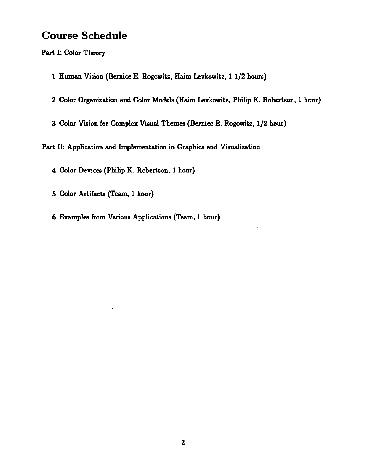#### **Course Schedule**

Part 1: Color Theory

- 1 Human Vision (Bernice E. Rogowitz, Haim Levkowitz, 1 1/2 hours)
- 2 Color Organization and Color Models (Haim Levkowitz, Philip K. Robertson, 1 hour)
- 3 Color Vision for Complex Visual Themes (Bernice E. Rogowitz, 1/2 hour)

Part II: Application and Implementation in Graphics and Visualization

4 Color Devices (Philip K. Robertson, 1 hour)

- 5 Color Artifacts (Team, 1 hour)
- 6 Examples from Various Applications (Team, 1 hour)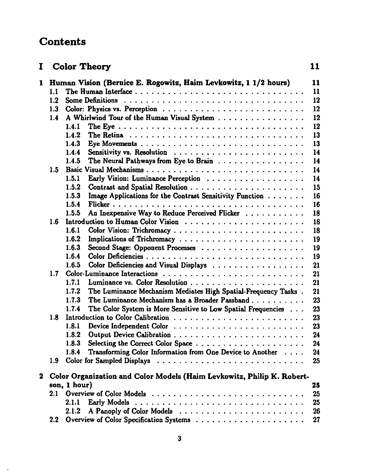## **Contents**

 $\sim$   $\sim$ 

| Ι.           |                  | Color Theory                                                                         | 11 |
|--------------|------------------|--------------------------------------------------------------------------------------|----|
| 1            |                  | Human Vision (Bernice E. Rogowitz, Haim Levkowitz, 1 1/2 hours)                      | 11 |
|              | 1.1              |                                                                                      | 11 |
|              | 1.2              |                                                                                      | 12 |
|              | 1.3              |                                                                                      | 12 |
|              | 1.4              | A Whirlwind Tour of the Human Visual System                                          | 12 |
|              |                  | 1.4.1                                                                                | 12 |
|              |                  | 1.4.2                                                                                | 13 |
|              |                  | 1.4.3                                                                                | 13 |
|              |                  | 1.4.4                                                                                | 14 |
|              |                  | The Neural Pathways from Eye to Brain $\ldots \ldots \ldots \ldots \ldots$<br>1.4.5  | 14 |
|              | 1.5              |                                                                                      | 14 |
|              |                  | Early Vision: Luminance Perception<br>1.5.1                                          | 14 |
|              |                  | 1.5.2                                                                                | 15 |
|              |                  | Image Applications for the Contrast Sensitivity Function<br>1.5.3                    | 16 |
|              |                  | 1.5.4                                                                                | 16 |
|              |                  | An Inexpensive Way to Reduce Perceived Flicker<br>1.5.5                              | 18 |
|              | 1.6              |                                                                                      | 18 |
|              |                  | Color Vision: Trichromacy<br>1.6.1                                                   | 18 |
|              |                  | 1.6.2                                                                                | 19 |
|              |                  | 1.6.3                                                                                | 19 |
|              |                  | 1.6.4                                                                                | 19 |
|              |                  | Color Deficiencies and Visual Displays<br>1.6.5                                      | 21 |
|              | 1.7              |                                                                                      | 21 |
|              |                  | 1.7.1                                                                                | 21 |
|              |                  | The Luminance Mechanism Mediates High Spatial-Frequency Tasks.<br>1.7.2              | 21 |
|              |                  | 1.7.3<br>The Luminance Mechanism has a Broader Passband                              | 23 |
|              |                  | The Color System is More Sensitive to Low Spatial Frequencies<br>1.7.4               | 23 |
|              | 1.8              |                                                                                      | 23 |
|              |                  | Device Independent Color $\ldots \ldots \ldots \ldots \ldots \ldots \ldots$<br>1.8.1 | 23 |
|              |                  | 1.8.2                                                                                | 24 |
|              |                  | 1.8.3                                                                                | 24 |
|              |                  | Transforming Color Information from One Device to Another<br>1.8.4                   | 24 |
|              |                  |                                                                                      | 25 |
| $\mathbf{2}$ |                  | Color Organization and Color Models (Haim Levkowitz, Philip K. Robert-               |    |
|              |                  | son, 1 hour)                                                                         | 25 |
|              | 2.1              |                                                                                      | 25 |
|              |                  | 2.1.1                                                                                | 25 |
|              |                  | 2.1.2                                                                                | 26 |
|              | $2.2\phantom{0}$ |                                                                                      | 27 |
|              |                  |                                                                                      |    |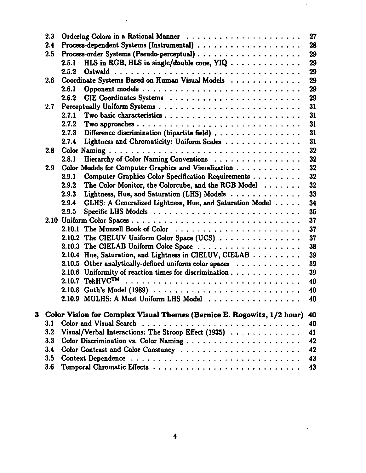|   | 2.3     | 27                                                                                         |  |
|---|---------|--------------------------------------------------------------------------------------------|--|
|   | 2.4     | 28                                                                                         |  |
|   | $2.5\,$ | 29                                                                                         |  |
|   |         | HLS in RGB, HLS in single/double cone, $YIQ \ldots \ldots \ldots \ldots$<br>29<br>2.5.1    |  |
|   |         | 29<br>2.5.2                                                                                |  |
|   | $2.6\,$ | Coordinate Systems Based on Human Visual Models<br>29                                      |  |
|   |         | 2.6.1<br>29                                                                                |  |
|   |         | 2.6.2<br>29                                                                                |  |
|   | 2.7     | 31                                                                                         |  |
|   |         | 31<br>2.7.1                                                                                |  |
|   |         | 2.7.2<br>31                                                                                |  |
|   |         | Difference discrimination (bipartite field)<br>2.7.3<br>31                                 |  |
|   |         | Lightness and Chromaticity: Uniform Scales<br>31<br>2.7.4                                  |  |
|   | 2.8     | 32                                                                                         |  |
|   |         | Hierarchy of Color Naming Conventions<br>32<br>2.8.1                                       |  |
|   | 2.9     | 32<br>Color Models for Computer Graphics and Visualization                                 |  |
|   |         | Computer Graphics Color Specification Requirements<br>32<br>2.9.1                          |  |
|   |         | 32<br>2.9.2<br>The Color Monitor, the Colorcube, and the RGB Model $\ldots \ldots$         |  |
|   |         | Lightness, Hue, and Saturation (LHS) Models<br>33<br>2.9.3                                 |  |
|   |         | GLHS: A Generalized Lightness, Hue, and Saturation Model<br>34<br>2.9.4                    |  |
|   |         | 2.9.5<br>36                                                                                |  |
|   |         | 37                                                                                         |  |
|   |         | 2.10.1 The Munsell Book of Color<br>37                                                     |  |
|   |         | 2.10.2 The CIELUV Uniform Color Space (UCS)<br>37                                          |  |
|   |         | 38                                                                                         |  |
|   |         | 2.10.4 Hue, Saturation, and Lightness in CIELUV, CIELAB<br>39                              |  |
|   |         | 2.10.5 Other analytically-defined uniform color spaces $\ldots \ldots \ldots$<br>39        |  |
|   |         | 2.10.6 Uniformity of reaction times for discrimination $\ldots \ldots \ldots \ldots$<br>39 |  |
|   |         | $2.10.7$ TekHVC <sup>TM</sup><br>40                                                        |  |
|   |         | 40                                                                                         |  |
|   |         | 2.10.9 MULHS: A Most Uniform LHS Model<br>40                                               |  |
| 3 |         | Color Vision for Complex Visual Themes (Bernice E. Rogowitz, 1/2 hour)<br>40               |  |
|   | 3.1     | 40                                                                                         |  |
|   | 3.2     | Visual/Verbal Interactions: The Stroop Effect (1935)<br>41                                 |  |
|   | 3.3     | 42                                                                                         |  |
|   | 3.4     | 42                                                                                         |  |
|   | 3.5     | 43                                                                                         |  |
|   | 3.6     | 43                                                                                         |  |
|   |         |                                                                                            |  |

 $\mathcal{L}^{\text{max}}_{\text{max}}$ 

 $\mathcal{A}^{\mathcal{A}}$ 

 $\ddot{\phantom{0}}$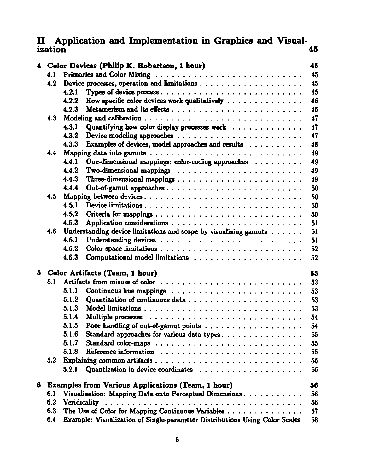#### II Application and Implementation in Graphics and Visualization 45

|   |     | 4 Color Devices (Philip K. Robertson, 1 hour)                                              | 45 |
|---|-----|--------------------------------------------------------------------------------------------|----|
|   | 4.1 |                                                                                            | 45 |
|   | 4.2 |                                                                                            | 45 |
|   |     | 4.2.1                                                                                      | 45 |
|   |     | How specific color devices work qualitatively $\dots \dots \dots \dots \dots$<br>4.2.2     | 46 |
|   |     | 4.2.3                                                                                      | 46 |
|   | 4.3 |                                                                                            | 47 |
|   |     | 4.3.1<br>Quantifying how color display processes work $\dots \dots \dots \dots$            | 47 |
|   |     | 4.3.2                                                                                      | 47 |
|   |     | Examples of devices, model approaches and results $\ldots \ldots \ldots$<br>4.3.3          | 48 |
|   | 4.4 |                                                                                            | 49 |
|   |     | 4.4.1<br>One-dimensional mappings: color-coding approaches $\ldots \ldots \ldots$          | 49 |
|   |     | 4.4.2                                                                                      | 49 |
|   |     | 4.4.3                                                                                      | 49 |
|   |     | 4.4.4<br>Out-of-gamut approaches                                                           | 50 |
|   | 4.5 | Mapping between devices                                                                    | 50 |
|   |     | Device limitations<br>4.5.1                                                                | 50 |
|   |     | 4.5.2                                                                                      | 50 |
|   |     | 4.5.3                                                                                      | 51 |
|   | 4.6 | Understanding device limitations and scope by visualizing gamuts                           | 51 |
|   |     | 4.6.1                                                                                      | 51 |
|   |     | 4.6.2                                                                                      | 52 |
|   |     | 4.6.3                                                                                      | 52 |
| 5 |     | Color Artifacts (Team, 1 hour)                                                             | 53 |
|   | 5.1 |                                                                                            | 53 |
|   |     | 5.1.1<br>Continuous hue mappings $\ldots \ldots \ldots \ldots \ldots \ldots \ldots \ldots$ | 53 |
|   |     | 5.1.2                                                                                      | 53 |
|   |     | 5.1.3                                                                                      | 53 |
|   |     | 5.1.4                                                                                      | 54 |
|   |     | 5.1.5                                                                                      | 54 |
|   |     | 5.1.6<br>Standard approaches for various data types                                        | 55 |
|   |     | 5.1.7                                                                                      | 55 |
|   |     | 5.1.8                                                                                      | 55 |
|   | 5.2 |                                                                                            | 56 |
|   |     | Quantization in device coordinates $\ldots \ldots \ldots \ldots \ldots \ldots$<br>5.2.1    | 56 |
| 6 |     | <b>Examples from Various Applications (Team, 1 hour)</b>                                   | 56 |
|   | 6.1 | Visualization: Mapping Data onto Perceptual Dimensions                                     | 56 |
|   | 6.2 | Veridicality                                                                               | 56 |
|   | 6.3 | The Use of Color for Mapping Continuous Variables                                          | 57 |
|   | 6.4 | Example: Visualization of Single-parameter Distributions Using Color Scales                | 58 |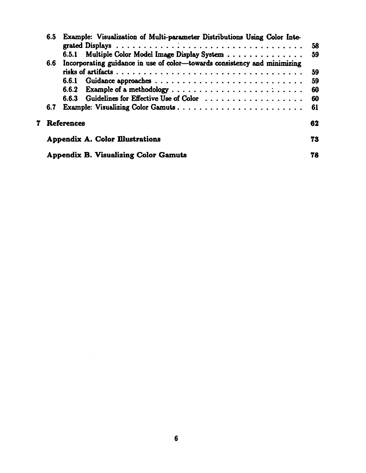| 6.5 | Example: Visualization of Multi-parameter Distributions Using Color Inte- | 58 |
|-----|---------------------------------------------------------------------------|----|
|     | 6.5.1 Multiple Color Model Image Display System                           | 59 |
| 6.6 | Incorporating guidance in use of color-towards consistency and minimizing |    |
|     |                                                                           | 59 |
|     | 6.6.1                                                                     | 59 |
|     | Example of a methodology<br>6.6.2                                         | 60 |
|     | Guidelines for Effective Use of Color<br>6.6.3                            | 60 |
| 6.7 | Example: Visualizing Color Gamuts                                         | 61 |
|     | <b>References</b>                                                         | 62 |
|     | <b>Appendix A. Color Illustrations</b>                                    | 73 |
|     | <b>Appendix B. Visualizing Color Gamuts</b>                               | 78 |